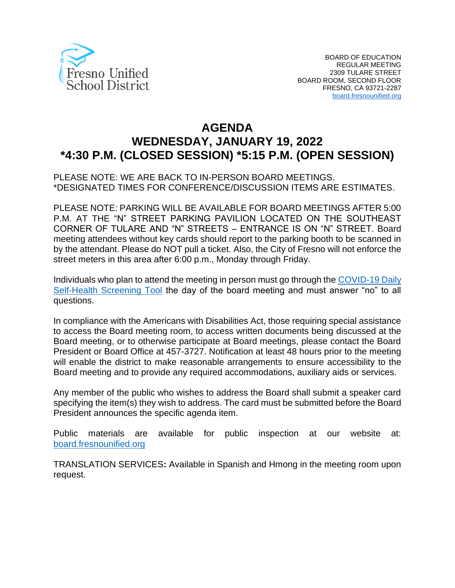

# **AGENDA WEDNESDAY, JANUARY 19, 2022 \*4:30 P.M. (CLOSED SESSION) \*5:15 P.M. (OPEN SESSION)**

## PLEASE NOTE: WE ARE BACK TO IN-PERSON BOARD MEETINGS. \*DESIGNATED TIMES FOR CONFERENCE/DISCUSSION ITEMS ARE ESTIMATES.

PLEASE NOTE: PARKING WILL BE AVAILABLE FOR BOARD MEETINGS AFTER 5:00 P.M. AT THE "N" STREET PARKING PAVILION LOCATED ON THE SOUTHEAST CORNER OF TULARE AND "N" STREETS – ENTRANCE IS ON "N" STREET. Board meeting attendees without key cards should report to the parking booth to be scanned in by the attendant. Please do NOT pull a ticket. Also, the City of Fresno will not enforce the street meters in this area after 6:00 p.m., Monday through Friday.

Individuals who plan to attend the meeting in person must go through the [COVID-19 Daily](https://www.fresnounified.org/covid19/) [Self-Health Screening Tool](https://www.fresnounified.org/covid19/) the day of the board meeting and must answer "no" to all questions.

In compliance with the Americans with Disabilities Act, those requiring special assistance to access the Board meeting room, to access written documents being discussed at the Board meeting, or to otherwise participate at Board meetings, please contact the Board President or Board Office at 457-3727. Notification at least 48 hours prior to the meeting will enable the district to make reasonable arrangements to ensure accessibility to the Board meeting and to provide any required accommodations, auxiliary aids or services.

Any member of the public who wishes to address the Board shall submit a speaker card specifying the item(s) they wish to address. The card must be submitted before the Board President announces the specific agenda item.

Public materials are available for public inspection at our website at: [board.fresnounified.org](https://board.fresnounified.org/)

TRANSLATION SERVICES**:** Available in Spanish and Hmong in the meeting room upon request.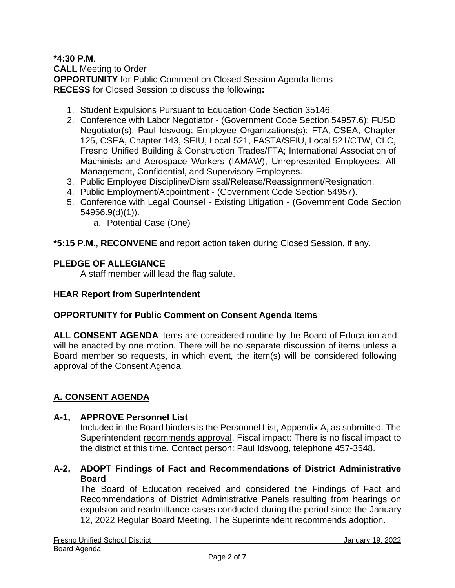## **\*4:30 P.M**.

**CALL** Meeting to Order **OPPORTUNITY** for Public Comment on Closed Session Agenda Items **RECESS** for Closed Session to discuss the following**:**

- 1. Student Expulsions Pursuant to Education Code Section 35146.
- 2. Conference with Labor Negotiator (Government Code Section 54957.6); FUSD Negotiator(s): Paul Idsvoog; Employee Organizations(s): FTA, CSEA, Chapter 125, CSEA, Chapter 143, SEIU, Local 521, FASTA/SEIU, Local 521/CTW, CLC, Fresno Unified Building & Construction Trades/FTA; International Association of Machinists and Aerospace Workers (IAMAW), Unrepresented Employees: All Management, Confidential, and Supervisory Employees.
- 3. Public Employee Discipline/Dismissal/Release/Reassignment/Resignation.
- 4. Public Employment/Appointment (Government Code Section 54957).
- 5. Conference with Legal Counsel Existing Litigation (Government Code Section 54956.9(d)(1)).
	- a. Potential Case (One)

**\*5:15 P.M., RECONVENE** and report action taken during Closed Session, if any.

# **PLEDGE OF ALLEGIANCE**

A staff member will lead the flag salute.

#### **HEAR Report from Superintendent**

#### **OPPORTUNITY for Public Comment on Consent Agenda Items**

**ALL CONSENT AGENDA** items are considered routine by the Board of Education and will be enacted by one motion. There will be no separate discussion of items unless a Board member so requests, in which event, the item(s) will be considered following approval of the Consent Agenda.

# **A. CONSENT AGENDA**

#### **A-1, APPROVE Personnel List**

Included in the Board binders is the Personnel List, Appendix A, as submitted. The Superintendent recommends approval. Fiscal impact: There is no fiscal impact to the district at this time. Contact person: Paul Idsvoog, telephone 457-3548.

# **A-2, ADOPT Findings of Fact and Recommendations of District Administrative Board**

The Board of Education received and considered the Findings of Fact and Recommendations of District Administrative Panels resulting from hearings on expulsion and readmittance cases conducted during the period since the January 12, 2022 Regular Board Meeting. The Superintendent recommends adoption.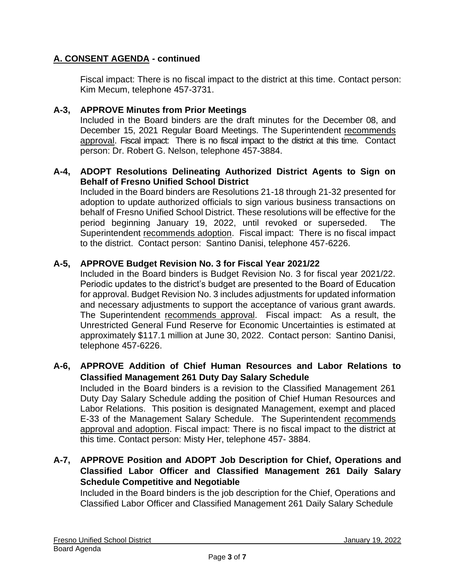Fiscal impact: There is no fiscal impact to the district at this time. Contact person: Kim Mecum, telephone 457-3731.

# **A-3, APPROVE Minutes from Prior Meetings**

Included in the Board binders are the draft minutes for the December 08, and December 15, 2021 Regular Board Meetings. The Superintendent recommends approval. Fiscal impact: There is no fiscal impact to the district at this time. Contact person: Dr. Robert G. Nelson, telephone 457-3884.

## **A-4, ADOPT Resolutions Delineating Authorized District Agents to Sign on Behalf of Fresno Unified School District**

Included in the Board binders are Resolutions 21-18 through 21-32 presented for adoption to update authorized officials to sign various business transactions on behalf of Fresno Unified School District. These resolutions will be effective for the period beginning January 19, 2022, until revoked or superseded. The Superintendent recommends adoption. Fiscal impact: There is no fiscal impact to the district. Contact person: Santino Danisi, telephone 457-6226.

## **A-5, APPROVE Budget Revision No. 3 for Fiscal Year 2021/22**

Included in the Board binders is Budget Revision No. 3 for fiscal year 2021/22. Periodic updates to the district's budget are presented to the Board of Education for approval. Budget Revision No. 3 includes adjustments for updated information and necessary adjustments to support the acceptance of various grant awards. The Superintendent recommends approval. Fiscal impact: As a result, the Unrestricted General Fund Reserve for Economic Uncertainties is estimated at approximately \$117.1 million at June 30, 2022. Contact person: Santino Danisi, telephone 457-6226.

## **A-6, APPROVE Addition of Chief Human Resources and Labor Relations to Classified Management 261 Duty Day Salary Schedule**

Included in the Board binders is a revision to the Classified Management 261 Duty Day Salary Schedule adding the position of Chief Human Resources and Labor Relations. This position is designated Management, exempt and placed E-33 of the Management Salary Schedule. The Superintendent recommends approval and adoption. Fiscal impact: There is no fiscal impact to the district at this time. Contact person: Misty Her, telephone 457- 3884.

# **A-7, APPROVE Position and ADOPT Job Description for Chief, Operations and Classified Labor Officer and Classified Management 261 Daily Salary Schedule Competitive and Negotiable**

Included in the Board binders is the job description for the Chief, Operations and Classified Labor Officer and Classified Management 261 Daily Salary Schedule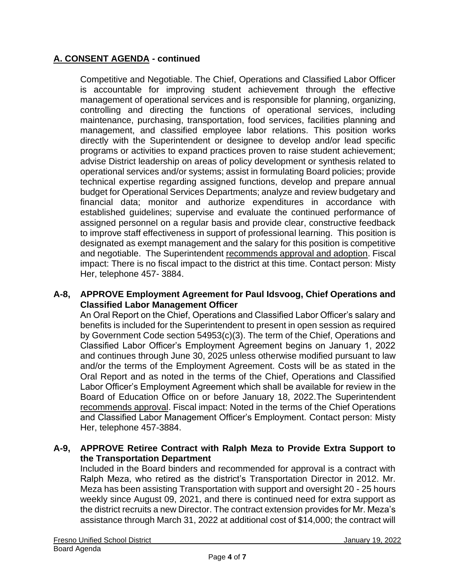Competitive and Negotiable. The Chief, Operations and Classified Labor Officer is accountable for improving student achievement through the effective management of operational services and is responsible for planning, organizing, controlling and directing the functions of operational services, including maintenance, purchasing, transportation, food services, facilities planning and management, and classified employee labor relations. This position works directly with the Superintendent or designee to develop and/or lead specific programs or activities to expand practices proven to raise student achievement; advise District leadership on areas of policy development or synthesis related to operational services and/or systems; assist in formulating Board policies; provide technical expertise regarding assigned functions, develop and prepare annual budget for Operational Services Departments; analyze and review budgetary and financial data; monitor and authorize expenditures in accordance with established guidelines; supervise and evaluate the continued performance of assigned personnel on a regular basis and provide clear, constructive feedback to improve staff effectiveness in support of professional learning. This position is designated as exempt management and the salary for this position is competitive and negotiable. The Superintendent recommends approval and adoption. Fiscal impact: There is no fiscal impact to the district at this time. Contact person: Misty Her, telephone 457- 3884.

#### **A-8, APPROVE Employment Agreement for Paul Idsvoog, Chief Operations and Classified Labor Management Officer**

An Oral Report on the Chief, Operations and Classified Labor Officer's salary and benefits is included for the Superintendent to present in open session as required by Government Code section 54953(c)(3). The term of the Chief, Operations and Classified Labor Officer's Employment Agreement begins on January 1, 2022 and continues through June 30, 2025 unless otherwise modified pursuant to law and/or the terms of the Employment Agreement. Costs will be as stated in the Oral Report and as noted in the terms of the Chief, Operations and Classified Labor Officer's Employment Agreement which shall be available for review in the Board of Education Office on or before January 18, 2022.The Superintendent recommends approval. Fiscal impact: Noted in the terms of the Chief Operations and Classified Labor Management Officer's Employment. Contact person: Misty Her, telephone 457-3884.

# **A-9, APPROVE Retiree Contract with Ralph Meza to Provide Extra Support to the Transportation Department**

Included in the Board binders and recommended for approval is a contract with Ralph Meza, who retired as the district's Transportation Director in 2012. Mr. Meza has been assisting Transportation with support and oversight 20 - 25 hours weekly since August 09, 2021, and there is continued need for extra support as the district recruits a new Director. The contract extension provides for Mr. Meza's assistance through March 31, 2022 at additional cost of \$14,000; the contract will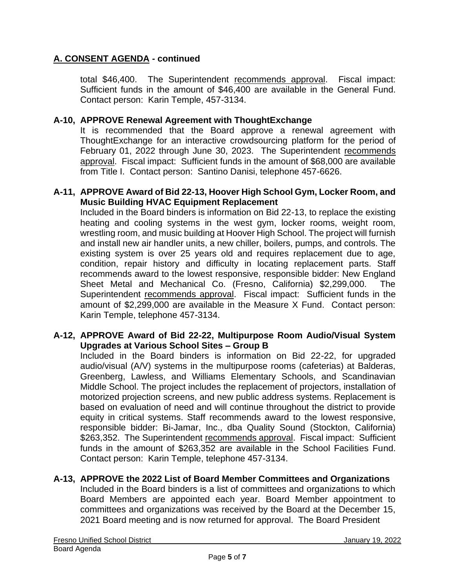total \$46,400. The Superintendent recommends approval. Fiscal impact: Sufficient funds in the amount of \$46,400 are available in the General Fund. Contact person: Karin Temple, 457-3134.

## **A-10, APPROVE Renewal Agreement with ThoughtExchange**

It is recommended that the Board approve a renewal agreement with ThoughtExchange for an interactive crowdsourcing platform for the period of February 01, 2022 through June 30, 2023. The Superintendent recommends approval. Fiscal impact: Sufficient funds in the amount of \$68,000 are available from Title I. Contact person: Santino Danisi, telephone 457-6626.

#### **A-11, APPROVE Award of Bid 22-13, Hoover High School Gym, Locker Room, and Music Building HVAC Equipment Replacement**

Included in the Board binders is information on Bid 22-13, to replace the existing heating and cooling systems in the west gym, locker rooms, weight room, wrestling room, and music building at Hoover High School. The project will furnish and install new air handler units, a new chiller, boilers, pumps, and controls. The existing system is over 25 years old and requires replacement due to age, condition, repair history and difficulty in locating replacement parts. Staff recommends award to the lowest responsive, responsible bidder: New England Sheet Metal and Mechanical Co. (Fresno, California) \$2,299,000. The Superintendent recommends approval. Fiscal impact: Sufficient funds in the amount of \$2,299,000 are available in the Measure X Fund. Contact person: Karin Temple, telephone 457-3134.

## **A-12, APPROVE Award of Bid 22-22, Multipurpose Room Audio/Visual System Upgrades at Various School Sites – Group B**

Included in the Board binders is information on Bid 22-22, for upgraded audio/visual (A/V) systems in the multipurpose rooms (cafeterias) at Balderas, Greenberg, Lawless, and Williams Elementary Schools, and Scandinavian Middle School. The project includes the replacement of projectors, installation of motorized projection screens, and new public address systems. Replacement is based on evaluation of need and will continue throughout the district to provide equity in critical systems. Staff recommends award to the lowest responsive, responsible bidder: Bi-Jamar, Inc., dba Quality Sound (Stockton, California) \$263,352. The Superintendent recommends approval. Fiscal impact: Sufficient funds in the amount of \$263,352 are available in the School Facilities Fund. Contact person: Karin Temple, telephone 457-3134.

# **A-13, APPROVE the 2022 List of Board Member Committees and Organizations**

Included in the Board binders is a list of committees and organizations to which Board Members are appointed each year. Board Member appointment to committees and organizations was received by the Board at the December 15, 2021 Board meeting and is now returned for approval. The Board President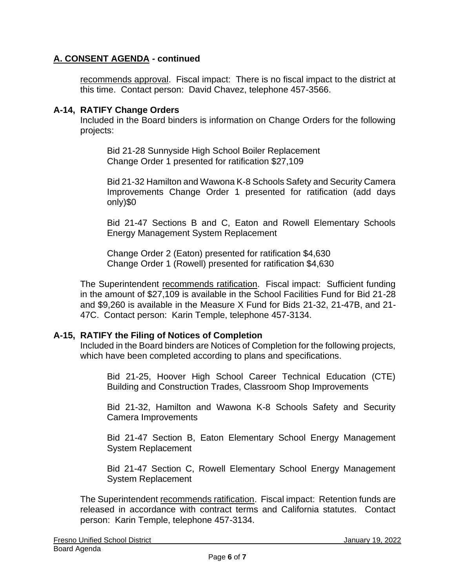recommends approval. Fiscal impact: There is no fiscal impact to the district at this time. Contact person: David Chavez, telephone 457-3566.

## **A-14, RATIFY Change Orders**

Included in the Board binders is information on Change Orders for the following projects:

Bid 21-28 Sunnyside High School Boiler Replacement Change Order 1 presented for ratification \$27,109

Bid 21-32 Hamilton and Wawona K-8 Schools Safety and Security Camera Improvements Change Order 1 presented for ratification (add days only)\$0

Bid 21-47 Sections B and C, Eaton and Rowell Elementary Schools Energy Management System Replacement

Change Order 2 (Eaton) presented for ratification \$4,630 Change Order 1 (Rowell) presented for ratification \$4,630

The Superintendent recommends ratification. Fiscal impact: Sufficient funding in the amount of \$27,109 is available in the School Facilities Fund for Bid 21-28 and \$9,260 is available in the Measure X Fund for Bids 21-32, 21-47B, and 21- 47C. Contact person: Karin Temple, telephone 457-3134.

# **A-15, RATIFY the Filing of Notices of Completion**

Included in the Board binders are Notices of Completion for the following projects, which have been completed according to plans and specifications.

Bid 21-25, Hoover High School Career Technical Education (CTE) Building and Construction Trades, Classroom Shop Improvements

Bid 21-32, Hamilton and Wawona K-8 Schools Safety and Security Camera Improvements

Bid 21-47 Section B, Eaton Elementary School Energy Management System Replacement

Bid 21-47 Section C, Rowell Elementary School Energy Management System Replacement

The Superintendent recommends ratification. Fiscal impact: Retention funds are released in accordance with contract terms and California statutes. Contact person: Karin Temple, telephone 457-3134.